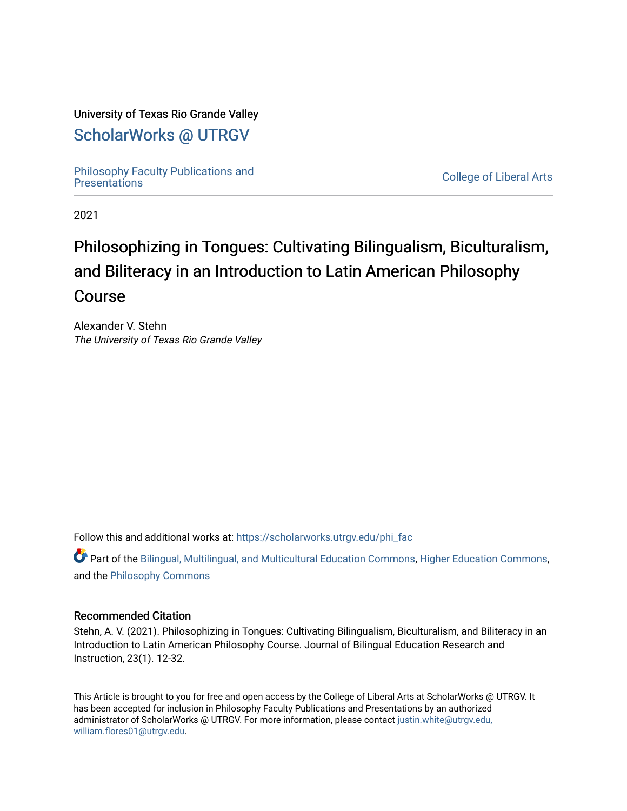# University of Texas Rio Grande Valley

# [ScholarWorks @ UTRGV](https://scholarworks.utrgv.edu/)

[Philosophy Faculty Publications and](https://scholarworks.utrgv.edu/phi_fac)

**College of Liberal Arts** 

2021

# Philosophizing in Tongues: Cultivating Bilingualism, Biculturalism, and Biliteracy in an Introduction to Latin American Philosophy Course

Alexander V. Stehn The University of Texas Rio Grande Valley

Follow this and additional works at: [https://scholarworks.utrgv.edu/phi\\_fac](https://scholarworks.utrgv.edu/phi_fac?utm_source=scholarworks.utrgv.edu%2Fphi_fac%2F18&utm_medium=PDF&utm_campaign=PDFCoverPages)

Part of the [Bilingual, Multilingual, and Multicultural Education Commons,](http://network.bepress.com/hgg/discipline/785?utm_source=scholarworks.utrgv.edu%2Fphi_fac%2F18&utm_medium=PDF&utm_campaign=PDFCoverPages) [Higher Education Commons,](http://network.bepress.com/hgg/discipline/1245?utm_source=scholarworks.utrgv.edu%2Fphi_fac%2F18&utm_medium=PDF&utm_campaign=PDFCoverPages) and the [Philosophy Commons](http://network.bepress.com/hgg/discipline/525?utm_source=scholarworks.utrgv.edu%2Fphi_fac%2F18&utm_medium=PDF&utm_campaign=PDFCoverPages)

#### Recommended Citation

Stehn, A. V. (2021). Philosophizing in Tongues: Cultivating Bilingualism, Biculturalism, and Biliteracy in an Introduction to Latin American Philosophy Course. Journal of Bilingual Education Research and Instruction, 23(1). 12-32.

This Article is brought to you for free and open access by the College of Liberal Arts at ScholarWorks @ UTRGV. It has been accepted for inclusion in Philosophy Faculty Publications and Presentations by an authorized administrator of ScholarWorks @ UTRGV. For more information, please contact [justin.white@utrgv.edu,](mailto:justin.white@utrgv.edu,%20william.flores01@utrgv.edu)  [william.flores01@utrgv.edu](mailto:justin.white@utrgv.edu,%20william.flores01@utrgv.edu).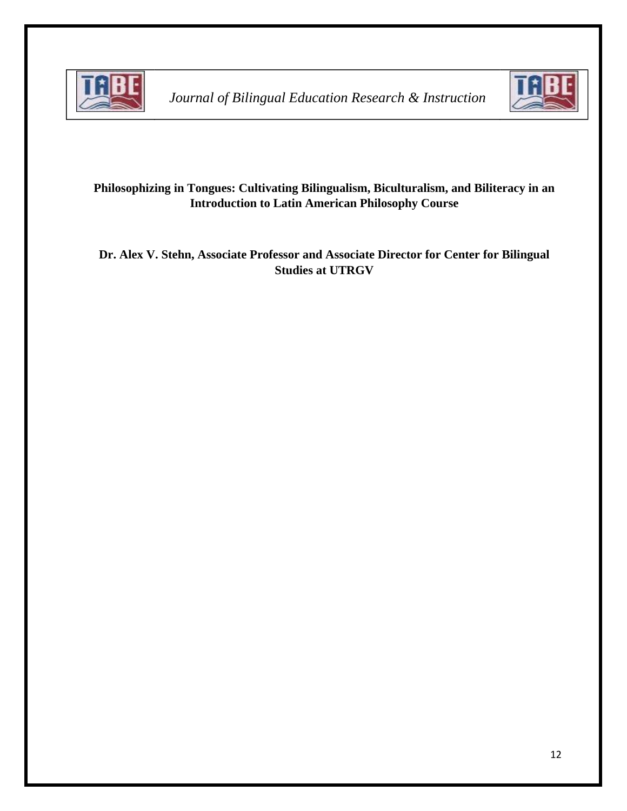

*Journal of Bilingual Education Research & Instruction*



# **Philosophizing in Tongues: Cultivating Bilingualism, Biculturalism, and Biliteracy in an Introduction to Latin American Philosophy Course**

**Dr. Alex V. Stehn, Associate Professor and Associate Director for Center for Bilingual Studies at UTRGV**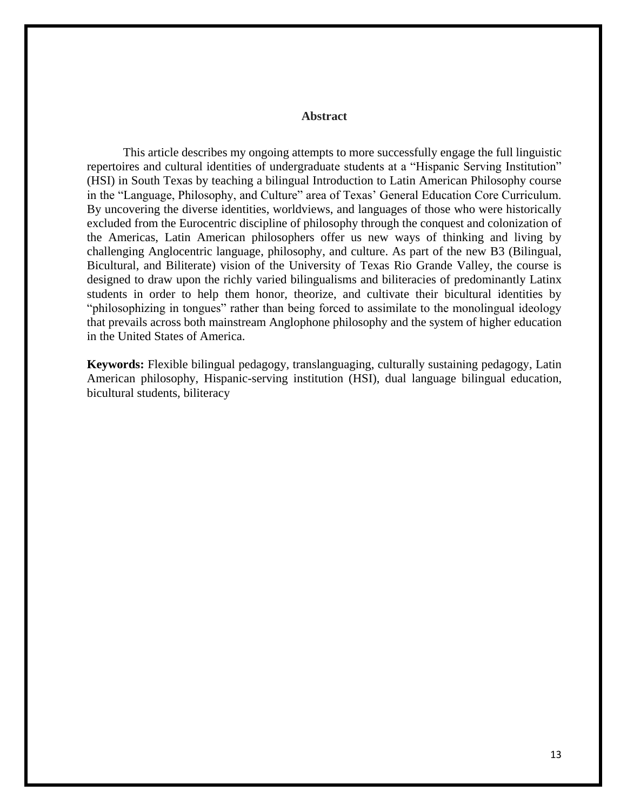#### **Abstract**

This article describes my ongoing attempts to more successfully engage the full linguistic repertoires and cultural identities of undergraduate students at a "Hispanic Serving Institution" (HSI) in South Texas by teaching a bilingual Introduction to Latin American Philosophy course in the "Language, Philosophy, and Culture" area of Texas' General Education Core Curriculum. By uncovering the diverse identities, worldviews, and languages of those who were historically excluded from the Eurocentric discipline of philosophy through the conquest and colonization of the Americas, Latin American philosophers offer us new ways of thinking and living by challenging Anglocentric language, philosophy, and culture. As part of the new B3 (Bilingual, Bicultural, and Biliterate) vision of the University of Texas Rio Grande Valley, the course is designed to draw upon the richly varied bilingualisms and biliteracies of predominantly Latinx students in order to help them honor, theorize, and cultivate their bicultural identities by "philosophizing in tongues" rather than being forced to assimilate to the monolingual ideology that prevails across both mainstream Anglophone philosophy and the system of higher education in the United States of America.

**Keywords:** Flexible bilingual pedagogy, translanguaging, culturally sustaining pedagogy, Latin American philosophy, Hispanic-serving institution (HSI), dual language bilingual education, bicultural students, biliteracy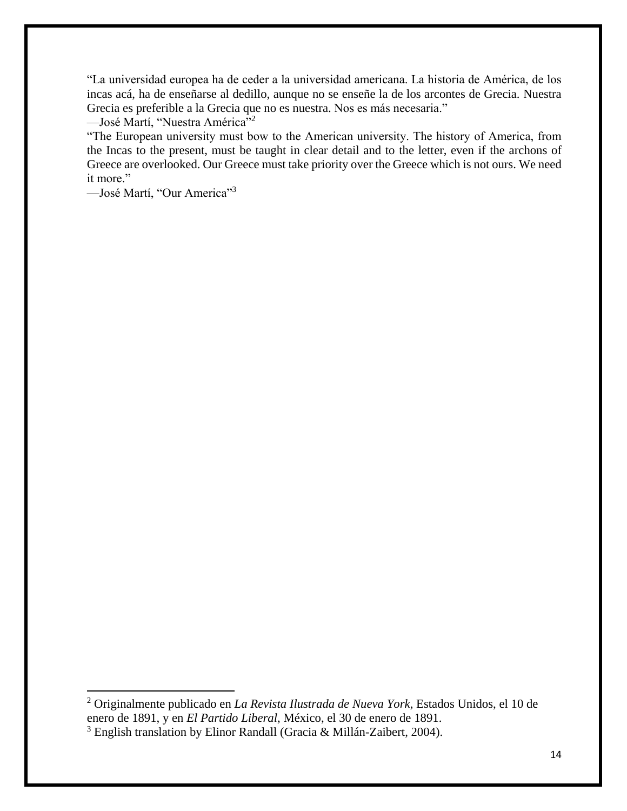"La universidad europea ha de ceder a la universidad americana. La historia de América, de los incas acá, ha de enseñarse al dedillo, aunque no se enseñe la de los arcontes de Grecia. Nuestra Grecia es preferible a la Grecia que no es nuestra. Nos es más necesaria."

—José Martí, "Nuestra América"<sup>2</sup>

"The European university must bow to the American university. The history of America, from the Incas to the present, must be taught in clear detail and to the letter, even if the archons of Greece are overlooked. Our Greece must take priority over the Greece which is not ours. We need it more."

—José Martí, "Our America"<sup>3</sup>

 $\ddot{\phantom{a}}$ 

<sup>2</sup> Originalmente publicado en *La Revista Ilustrada de Nueva York*, Estados Unidos, el 10 de enero de 1891, y en *El Partido Liberal*, México, el 30 de enero de 1891.

<sup>&</sup>lt;sup>3</sup> English translation by Elinor Randall (Gracia & Millán-Zaibert, 2004).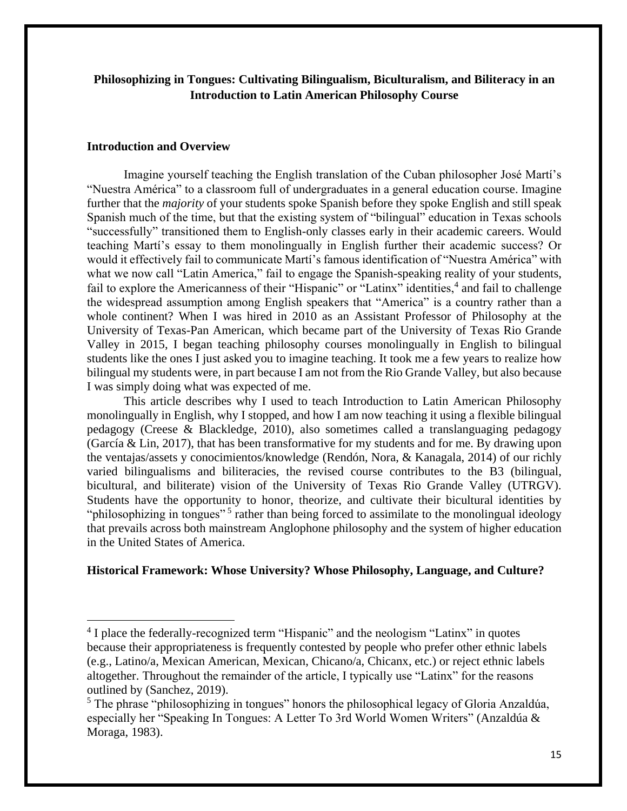## **Philosophizing in Tongues: Cultivating Bilingualism, Biculturalism, and Biliteracy in an Introduction to Latin American Philosophy Course**

#### **Introduction and Overview**

 $\ddot{\phantom{a}}$ 

Imagine yourself teaching the English translation of the Cuban philosopher José Martí's "Nuestra América" to a classroom full of undergraduates in a general education course. Imagine further that the *majority* of your students spoke Spanish before they spoke English and still speak Spanish much of the time, but that the existing system of "bilingual" education in Texas schools "successfully" transitioned them to English-only classes early in their academic careers. Would teaching Martí's essay to them monolingually in English further their academic success? Or would it effectively fail to communicate Martí's famous identification of "Nuestra América" with what we now call "Latin America," fail to engage the Spanish-speaking reality of your students, fail to explore the Americanness of their "Hispanic" or "Latinx" identities,<sup>4</sup> and fail to challenge the widespread assumption among English speakers that "America" is a country rather than a whole continent? When I was hired in 2010 as an Assistant Professor of Philosophy at the University of Texas-Pan American, which became part of the University of Texas Rio Grande Valley in 2015, I began teaching philosophy courses monolingually in English to bilingual students like the ones I just asked you to imagine teaching. It took me a few years to realize how bilingual my students were, in part because I am not from the Rio Grande Valley, but also because I was simply doing what was expected of me.

This article describes why I used to teach Introduction to Latin American Philosophy monolingually in English, why I stopped, and how I am now teaching it using a flexible bilingual pedagogy (Creese & Blackledge, 2010), also sometimes called a translanguaging pedagogy (García & Lin, 2017), that has been transformative for my students and for me. By drawing upon the ventajas/assets y conocimientos/knowledge (Rendón, Nora, & Kanagala, 2014) of our richly varied bilingualisms and biliteracies, the revised course contributes to the B3 (bilingual, bicultural, and biliterate) vision of the University of Texas Rio Grande Valley (UTRGV). Students have the opportunity to honor, theorize, and cultivate their bicultural identities by "philosophizing in tongues"<sup>5</sup> rather than being forced to assimilate to the monolingual ideology that prevails across both mainstream Anglophone philosophy and the system of higher education in the United States of America.

#### **Historical Framework: Whose University? Whose Philosophy, Language, and Culture?**

<sup>&</sup>lt;sup>4</sup> I place the federally-recognized term "Hispanic" and the neologism "Latinx" in quotes because their appropriateness is frequently contested by people who prefer other ethnic labels (e.g., Latino/a, Mexican American, Mexican, Chicano/a, Chicanx, etc.) or reject ethnic labels altogether. Throughout the remainder of the article, I typically use "Latinx" for the reasons outlined by (Sanchez, 2019).

 $<sup>5</sup>$  The phrase "philosophizing in tongues" honors the philosophical legacy of Gloria Anzaldúa,</sup> especially her "Speaking In Tongues: A Letter To 3rd World Women Writers" (Anzaldúa & Moraga, 1983).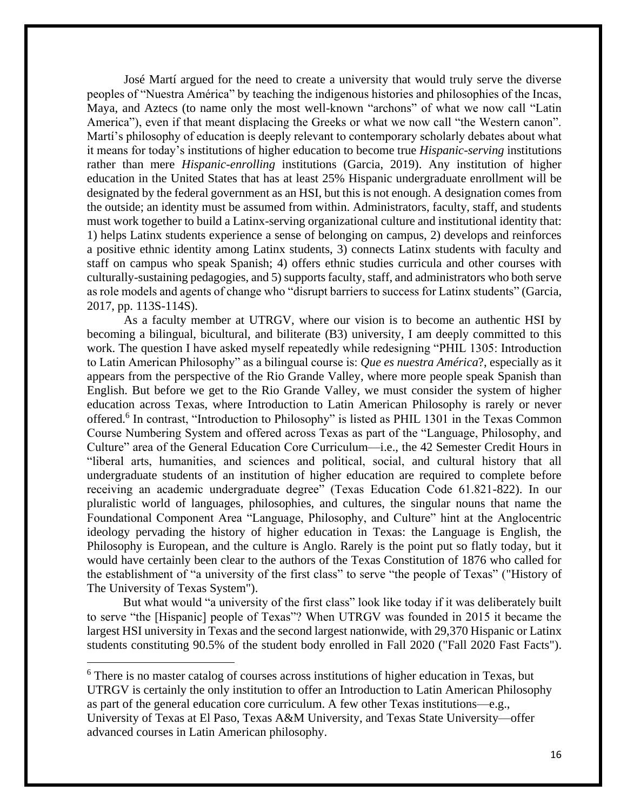José Martí argued for the need to create a university that would truly serve the diverse peoples of "Nuestra América" by teaching the indigenous histories and philosophies of the Incas, Maya, and Aztecs (to name only the most well-known "archons" of what we now call "Latin America"), even if that meant displacing the Greeks or what we now call "the Western canon". Martí's philosophy of education is deeply relevant to contemporary scholarly debates about what it means for today's institutions of higher education to become true *Hispanic-serving* institutions rather than mere *Hispanic-enrolling* institutions (Garcia, 2019). Any institution of higher education in the United States that has at least 25% Hispanic undergraduate enrollment will be designated by the federal government as an HSI, but this is not enough. A designation comes from the outside; an identity must be assumed from within. Administrators, faculty, staff, and students must work together to build a Latinx-serving organizational culture and institutional identity that: 1) helps Latinx students experience a sense of belonging on campus, 2) develops and reinforces a positive ethnic identity among Latinx students, 3) connects Latinx students with faculty and staff on campus who speak Spanish; 4) offers ethnic studies curricula and other courses with culturally-sustaining pedagogies, and 5) supports faculty, staff, and administrators who both serve as role models and agents of change who "disrupt barriers to success for Latinx students" (Garcia, 2017, pp. 113S-114S).

As a faculty member at UTRGV, where our vision is to become an authentic HSI by becoming a bilingual, bicultural, and biliterate (B3) university, I am deeply committed to this work. The question I have asked myself repeatedly while redesigning "PHIL 1305: Introduction to Latin American Philosophy" as a bilingual course is: *Que es nuestra América*?, especially as it appears from the perspective of the Rio Grande Valley, where more people speak Spanish than English. But before we get to the Rio Grande Valley, we must consider the system of higher education across Texas, where Introduction to Latin American Philosophy is rarely or never offered.<sup>6</sup> In contrast, "Introduction to Philosophy" is listed as PHIL 1301 in the Texas Common Course Numbering System and offered across Texas as part of the "Language, Philosophy, and Culture" area of the General Education Core Curriculum—i.e., the 42 Semester Credit Hours in "liberal arts, humanities, and sciences and political, social, and cultural history that all undergraduate students of an institution of higher education are required to complete before receiving an academic undergraduate degree" (Texas Education Code 61.821-822). In our pluralistic world of languages, philosophies, and cultures, the singular nouns that name the Foundational Component Area "Language, Philosophy, and Culture" hint at the Anglocentric ideology pervading the history of higher education in Texas: the Language is English, the Philosophy is European, and the culture is Anglo. Rarely is the point put so flatly today, but it would have certainly been clear to the authors of the Texas Constitution of 1876 who called for the establishment of "a university of the first class" to serve "the people of Texas" ("History of The University of Texas System").

But what would "a university of the first class" look like today if it was deliberately built to serve "the [Hispanic] people of Texas"? When UTRGV was founded in 2015 it became the largest HSI university in Texas and the second largest nationwide, with 29,370 Hispanic or Latinx students constituting 90.5% of the student body enrolled in Fall 2020 ("Fall 2020 Fast Facts").

<sup>6</sup> There is no master catalog of courses across institutions of higher education in Texas, but UTRGV is certainly the only institution to offer an Introduction to Latin American Philosophy as part of the general education core curriculum. A few other Texas institutions—e.g., University of Texas at El Paso, Texas A&M University, and Texas State University—offer advanced courses in Latin American philosophy.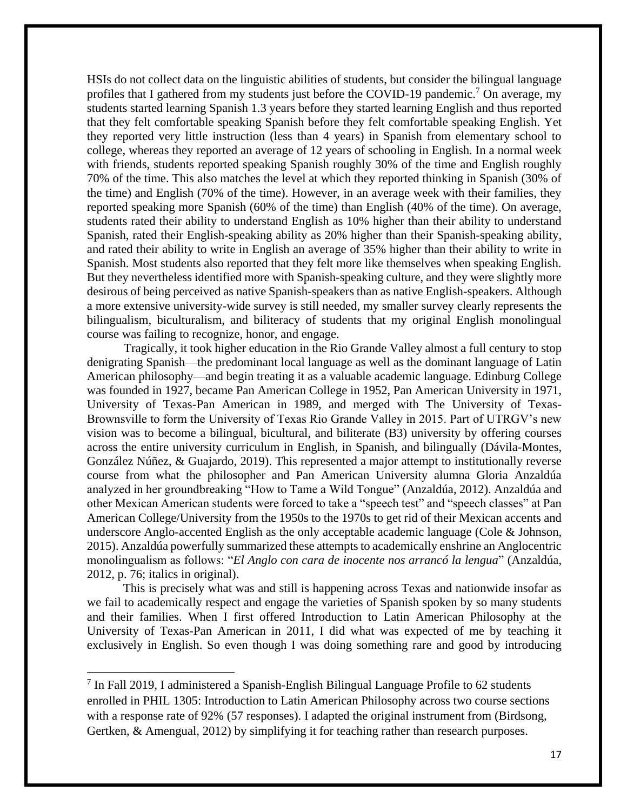HSIs do not collect data on the linguistic abilities of students, but consider the bilingual language profiles that I gathered from my students just before the COVID-19 pandemic.<sup>7</sup> On average, my students started learning Spanish 1.3 years before they started learning English and thus reported that they felt comfortable speaking Spanish before they felt comfortable speaking English. Yet they reported very little instruction (less than 4 years) in Spanish from elementary school to college, whereas they reported an average of 12 years of schooling in English. In a normal week with friends, students reported speaking Spanish roughly 30% of the time and English roughly 70% of the time. This also matches the level at which they reported thinking in Spanish (30% of the time) and English (70% of the time). However, in an average week with their families, they reported speaking more Spanish (60% of the time) than English (40% of the time). On average, students rated their ability to understand English as 10% higher than their ability to understand Spanish, rated their English-speaking ability as 20% higher than their Spanish-speaking ability, and rated their ability to write in English an average of 35% higher than their ability to write in Spanish. Most students also reported that they felt more like themselves when speaking English. But they nevertheless identified more with Spanish-speaking culture, and they were slightly more desirous of being perceived as native Spanish-speakers than as native English-speakers. Although a more extensive university-wide survey is still needed, my smaller survey clearly represents the bilingualism, biculturalism, and biliteracy of students that my original English monolingual course was failing to recognize, honor, and engage.

Tragically, it took higher education in the Rio Grande Valley almost a full century to stop denigrating Spanish—the predominant local language as well as the dominant language of Latin American philosophy—and begin treating it as a valuable academic language. Edinburg College was founded in 1927, became Pan American College in 1952, Pan American University in 1971, University of Texas-Pan American in 1989, and merged with The University of Texas-Brownsville to form the University of Texas Rio Grande Valley in 2015. Part of UTRGV's new vision was to become a bilingual, bicultural, and biliterate (B3) university by offering courses across the entire university curriculum in English, in Spanish, and bilingually (Dávila-Montes, González Núñez, & Guajardo, 2019). This represented a major attempt to institutionally reverse course from what the philosopher and Pan American University alumna Gloria Anzaldúa analyzed in her groundbreaking "How to Tame a Wild Tongue" (Anzaldúa, 2012). Anzaldúa and other Mexican American students were forced to take a "speech test" and "speech classes" at Pan American College/University from the 1950s to the 1970s to get rid of their Mexican accents and underscore Anglo-accented English as the only acceptable academic language (Cole & Johnson, 2015). Anzaldúa powerfully summarized these attempts to academically enshrine an Anglocentric monolingualism as follows: "*El Anglo con cara de inocente nos arrancó la lengua*" (Anzaldúa, 2012, p. 76; italics in original).

This is precisely what was and still is happening across Texas and nationwide insofar as we fail to academically respect and engage the varieties of Spanish spoken by so many students and their families. When I first offered Introduction to Latin American Philosophy at the University of Texas-Pan American in 2011, I did what was expected of me by teaching it exclusively in English. So even though I was doing something rare and good by introducing

<sup>&</sup>lt;sup>7</sup> In Fall 2019, I administered a Spanish-English Bilingual Language Profile to 62 students enrolled in PHIL 1305: Introduction to Latin American Philosophy across two course sections with a response rate of 92% (57 responses). I adapted the original instrument from (Birdsong, Gertken, & Amengual, 2012) by simplifying it for teaching rather than research purposes.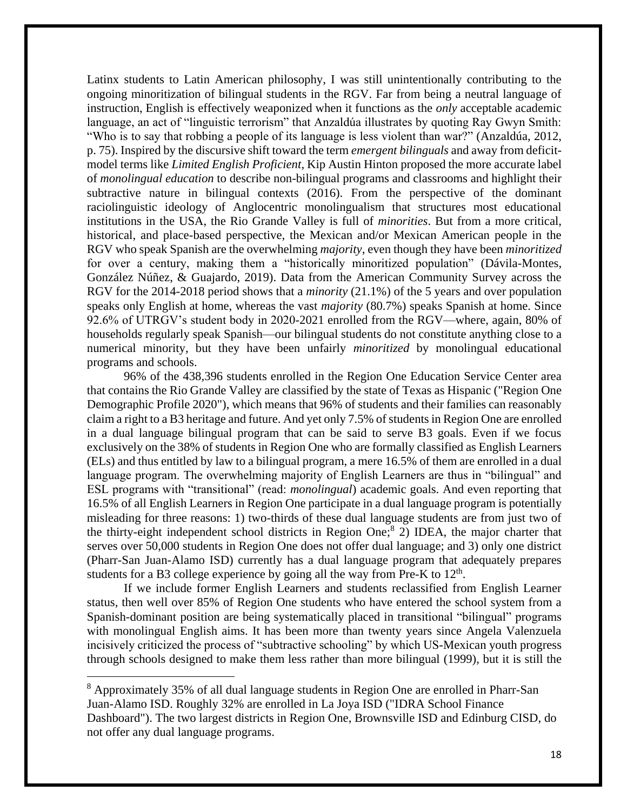Latinx students to Latin American philosophy, I was still unintentionally contributing to the ongoing minoritization of bilingual students in the RGV. Far from being a neutral language of instruction, English is effectively weaponized when it functions as the *only* acceptable academic language, an act of "linguistic terrorism" that Anzaldúa illustrates by quoting Ray Gwyn Smith: "Who is to say that robbing a people of its language is less violent than war?" (Anzaldúa, 2012, p. 75). Inspired by the discursive shift toward the term *emergent bilinguals* and away from deficitmodel terms like *Limited English Proficient*, Kip Austin Hinton proposed the more accurate label of *monolingual education* to describe non-bilingual programs and classrooms and highlight their subtractive nature in bilingual contexts (2016). From the perspective of the dominant raciolinguistic ideology of Anglocentric monolingualism that structures most educational institutions in the USA, the Rio Grande Valley is full of *minorities*. But from a more critical, historical, and place-based perspective, the Mexican and/or Mexican American people in the RGV who speak Spanish are the overwhelming *majority*, even though they have been *minoritized* for over a century, making them a "historically minoritized population" (Dávila-Montes, González Núñez, & Guajardo, 2019). Data from the American Community Survey across the RGV for the 2014-2018 period shows that a *minority* (21.1%) of the 5 years and over population speaks only English at home, whereas the vast *majority* (80.7%) speaks Spanish at home. Since 92.6% of UTRGV's student body in 2020-2021 enrolled from the RGV—where, again, 80% of households regularly speak Spanish—our bilingual students do not constitute anything close to a numerical minority, but they have been unfairly *minoritized* by monolingual educational programs and schools.

96% of the 438,396 students enrolled in the Region One Education Service Center area that contains the Rio Grande Valley are classified by the state of Texas as Hispanic ("Region One Demographic Profile 2020"), which means that 96% of students and their families can reasonably claim a right to a B3 heritage and future. And yet only 7.5% of students in Region One are enrolled in a dual language bilingual program that can be said to serve B3 goals. Even if we focus exclusively on the 38% of students in Region One who are formally classified as English Learners (ELs) and thus entitled by law to a bilingual program, a mere 16.5% of them are enrolled in a dual language program. The overwhelming majority of English Learners are thus in "bilingual" and ESL programs with "transitional" (read: *monolingual*) academic goals. And even reporting that 16.5% of all English Learners in Region One participate in a dual language program is potentially misleading for three reasons: 1) two-thirds of these dual language students are from just two of the thirty-eight independent school districts in Region One;<sup>8</sup> 2) IDEA, the major charter that serves over 50,000 students in Region One does not offer dual language; and 3) only one district (Pharr-San Juan-Alamo ISD) currently has a dual language program that adequately prepares students for a B3 college experience by going all the way from Pre-K to  $12<sup>th</sup>$ .

If we include former English Learners and students reclassified from English Learner status, then well over 85% of Region One students who have entered the school system from a Spanish-dominant position are being systematically placed in transitional "bilingual" programs with monolingual English aims. It has been more than twenty years since Angela Valenzuela incisively criticized the process of "subtractive schooling" by which US-Mexican youth progress through schools designed to make them less rather than more bilingual (1999), but it is still the

<sup>8</sup> Approximately 35% of all dual language students in Region One are enrolled in Pharr-San Juan-Alamo ISD. Roughly 32% are enrolled in La Joya ISD ("IDRA School Finance Dashboard"). The two largest districts in Region One, Brownsville ISD and Edinburg CISD, do not offer any dual language programs.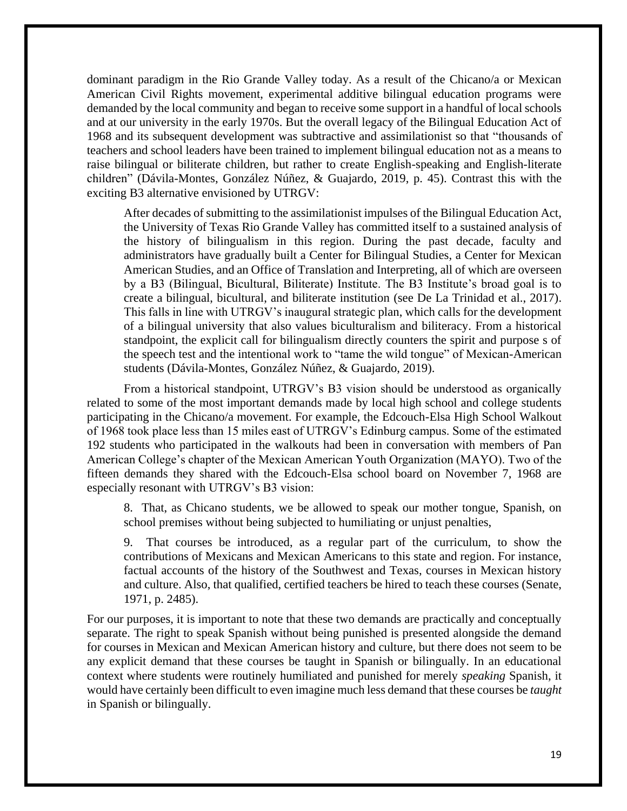dominant paradigm in the Rio Grande Valley today. As a result of the Chicano/a or Mexican American Civil Rights movement, experimental additive bilingual education programs were demanded by the local community and began to receive some support in a handful of local schools and at our university in the early 1970s. But the overall legacy of the Bilingual Education Act of 1968 and its subsequent development was subtractive and assimilationist so that "thousands of teachers and school leaders have been trained to implement bilingual education not as a means to raise bilingual or biliterate children, but rather to create English-speaking and English-literate children" (Dávila-Montes, González Núñez, & Guajardo, 2019, p. 45). Contrast this with the exciting B3 alternative envisioned by UTRGV:

After decades of submitting to the assimilationist impulses of the Bilingual Education Act, the University of Texas Rio Grande Valley has committed itself to a sustained analysis of the history of bilingualism in this region. During the past decade, faculty and administrators have gradually built a Center for Bilingual Studies, a Center for Mexican American Studies, and an Office of Translation and Interpreting, all of which are overseen by a B3 (Bilingual, Bicultural, Biliterate) Institute. The B3 Institute's broad goal is to create a bilingual, bicultural, and biliterate institution (see De La Trinidad et al., 2017). This falls in line with UTRGV's inaugural strategic plan, which calls for the development of a bilingual university that also values biculturalism and biliteracy. From a historical standpoint, the explicit call for bilingualism directly counters the spirit and purpose s of the speech test and the intentional work to "tame the wild tongue" of Mexican-American students (Dávila-Montes, González Núñez, & Guajardo, 2019).

From a historical standpoint, UTRGV's B3 vision should be understood as organically related to some of the most important demands made by local high school and college students participating in the Chicano/a movement. For example, the Edcouch-Elsa High School Walkout of 1968 took place less than 15 miles east of UTRGV's Edinburg campus. Some of the estimated 192 students who participated in the walkouts had been in conversation with members of Pan American College's chapter of the Mexican American Youth Organization (MAYO). Two of the fifteen demands they shared with the Edcouch-Elsa school board on November 7, 1968 are especially resonant with UTRGV's B3 vision:

8. That, as Chicano students, we be allowed to speak our mother tongue, Spanish, on school premises without being subjected to humiliating or unjust penalties,

9. That courses be introduced, as a regular part of the curriculum, to show the contributions of Mexicans and Mexican Americans to this state and region. For instance, factual accounts of the history of the Southwest and Texas, courses in Mexican history and culture. Also, that qualified, certified teachers be hired to teach these courses (Senate, 1971, p. 2485).

For our purposes, it is important to note that these two demands are practically and conceptually separate. The right to speak Spanish without being punished is presented alongside the demand for courses in Mexican and Mexican American history and culture, but there does not seem to be any explicit demand that these courses be taught in Spanish or bilingually. In an educational context where students were routinely humiliated and punished for merely *speaking* Spanish, it would have certainly been difficult to even imagine much less demand that these courses be *taught* in Spanish or bilingually.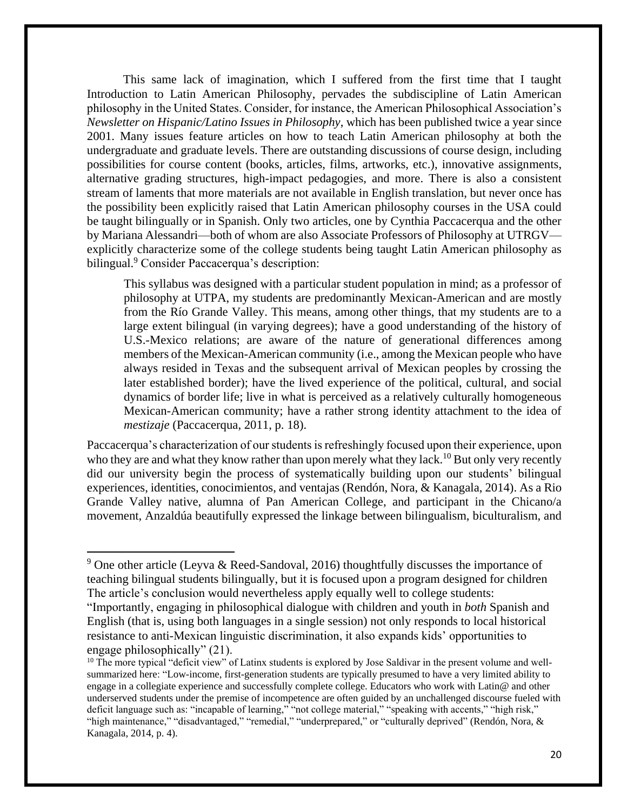This same lack of imagination, which I suffered from the first time that I taught Introduction to Latin American Philosophy, pervades the subdiscipline of Latin American philosophy in the United States. Consider, for instance, the American Philosophical Association's *Newsletter on Hispanic/Latino Issues in Philosophy*, which has been published twice a year since 2001. Many issues feature articles on how to teach Latin American philosophy at both the undergraduate and graduate levels. There are outstanding discussions of course design, including possibilities for course content (books, articles, films, artworks, etc.), innovative assignments, alternative grading structures, high-impact pedagogies, and more. There is also a consistent stream of laments that more materials are not available in English translation, but never once has the possibility been explicitly raised that Latin American philosophy courses in the USA could be taught bilingually or in Spanish. Only two articles, one by Cynthia Paccacerqua and the other by Mariana Alessandri—both of whom are also Associate Professors of Philosophy at UTRGV explicitly characterize some of the college students being taught Latin American philosophy as bilingual.<sup>9</sup> Consider Paccacerqua's description:

This syllabus was designed with a particular student population in mind; as a professor of philosophy at UTPA, my students are predominantly Mexican-American and are mostly from the Río Grande Valley. This means, among other things, that my students are to a large extent bilingual (in varying degrees); have a good understanding of the history of U.S.-Mexico relations; are aware of the nature of generational differences among members of the Mexican-American community (i.e., among the Mexican people who have always resided in Texas and the subsequent arrival of Mexican peoples by crossing the later established border); have the lived experience of the political, cultural, and social dynamics of border life; live in what is perceived as a relatively culturally homogeneous Mexican-American community; have a rather strong identity attachment to the idea of *mestizaje* (Paccacerqua, 2011, p. 18).

Paccacerqua's characterization of our students is refreshingly focused upon their experience, upon who they are and what they know rather than upon merely what they lack.<sup>10</sup> But only very recently did our university begin the process of systematically building upon our students' bilingual experiences, identities, conocimientos, and ventajas (Rendón, Nora, & Kanagala, 2014). As a Rio Grande Valley native, alumna of Pan American College, and participant in the Chicano/a movement, Anzaldúa beautifully expressed the linkage between bilingualism, biculturalism, and

 $9$  One other article (Leyva & Reed-Sandoval, 2016) thoughtfully discusses the importance of teaching bilingual students bilingually, but it is focused upon a program designed for children The article's conclusion would nevertheless apply equally well to college students:

<sup>&</sup>quot;Importantly, engaging in philosophical dialogue with children and youth in *both* Spanish and English (that is, using both languages in a single session) not only responds to local historical resistance to anti-Mexican linguistic discrimination, it also expands kids' opportunities to engage philosophically" (21).

<sup>&</sup>lt;sup>10</sup> The more typical "deficit view" of Latinx students is explored by Jose Saldivar in the present volume and wellsummarized here: "Low-income, first-generation students are typically presumed to have a very limited ability to engage in a collegiate experience and successfully complete college. Educators who work with Latin@ and other underserved students under the premise of incompetence are often guided by an unchallenged discourse fueled with deficit language such as: "incapable of learning," "not college material," "speaking with accents," "high risk," "high maintenance," "disadvantaged," "remedial," "underprepared," or "culturally deprived" (Rendón, Nora, & Kanagala, 2014, p. 4).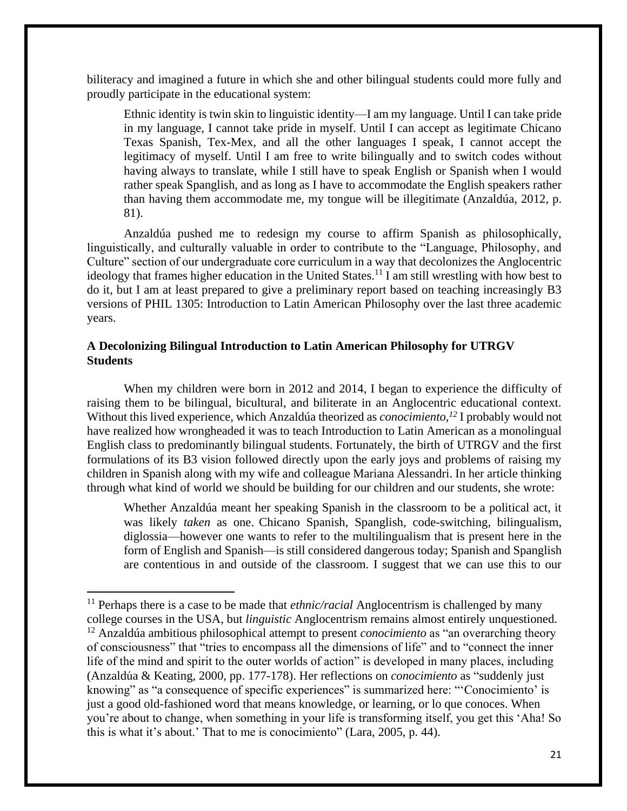biliteracy and imagined a future in which she and other bilingual students could more fully and proudly participate in the educational system:

Ethnic identity is twin skin to linguistic identity—I am my language. Until I can take pride in my language, I cannot take pride in myself. Until I can accept as legitimate Chicano Texas Spanish, Tex-Mex, and all the other languages I speak, I cannot accept the legitimacy of myself. Until I am free to write bilingually and to switch codes without having always to translate, while I still have to speak English or Spanish when I would rather speak Spanglish, and as long as I have to accommodate the English speakers rather than having them accommodate me, my tongue will be illegitimate (Anzaldúa, 2012, p. 81).

Anzaldúa pushed me to redesign my course to affirm Spanish as philosophically, linguistically, and culturally valuable in order to contribute to the "Language, Philosophy, and Culture" section of our undergraduate core curriculum in a way that decolonizes the Anglocentric ideology that frames higher education in the United States.<sup>11</sup> I am still wrestling with how best to do it, but I am at least prepared to give a preliminary report based on teaching increasingly B3 versions of PHIL 1305: Introduction to Latin American Philosophy over the last three academic years.

## **A Decolonizing Bilingual Introduction to Latin American Philosophy for UTRGV Students**

When my children were born in 2012 and 2014, I began to experience the difficulty of raising them to be bilingual, bicultural, and biliterate in an Anglocentric educational context. Without this lived experience, which Anzaldúa theorized as *conocimiento,<sup>12</sup>* I probably would not have realized how wrongheaded it was to teach Introduction to Latin American as a monolingual English class to predominantly bilingual students. Fortunately, the birth of UTRGV and the first formulations of its B3 vision followed directly upon the early joys and problems of raising my children in Spanish along with my wife and colleague Mariana Alessandri. In her article thinking through what kind of world we should be building for our children and our students, she wrote:

Whether Anzaldúa meant her speaking Spanish in the classroom to be a political act, it was likely *taken* as one. Chicano Spanish, Spanglish, code-switching, bilingualism, diglossia—however one wants to refer to the multilingualism that is present here in the form of English and Spanish—is still considered dangerous today; Spanish and Spanglish are contentious in and outside of the classroom. I suggest that we can use this to our

<sup>&</sup>lt;sup>11</sup> Perhaps there is a case to be made that *ethnic/racial* Anglocentrism is challenged by many college courses in the USA, but *linguistic* Anglocentrism remains almost entirely unquestioned. <sup>12</sup> Anzaldúa ambitious philosophical attempt to present *conocimiento* as "an overarching theory of consciousness" that "tries to encompass all the dimensions of life" and to "connect the inner life of the mind and spirit to the outer worlds of action" is developed in many places, including (Anzaldúa & Keating, 2000, pp. 177-178). Her reflections on *conocimiento* as "suddenly just knowing" as "a consequence of specific experiences" is summarized here: "'Conocimiento' is just a good old-fashioned word that means knowledge, or learning, or lo que conoces. When you're about to change, when something in your life is transforming itself, you get this 'Aha! So this is what it's about.' That to me is conocimiento" (Lara, 2005, p. 44).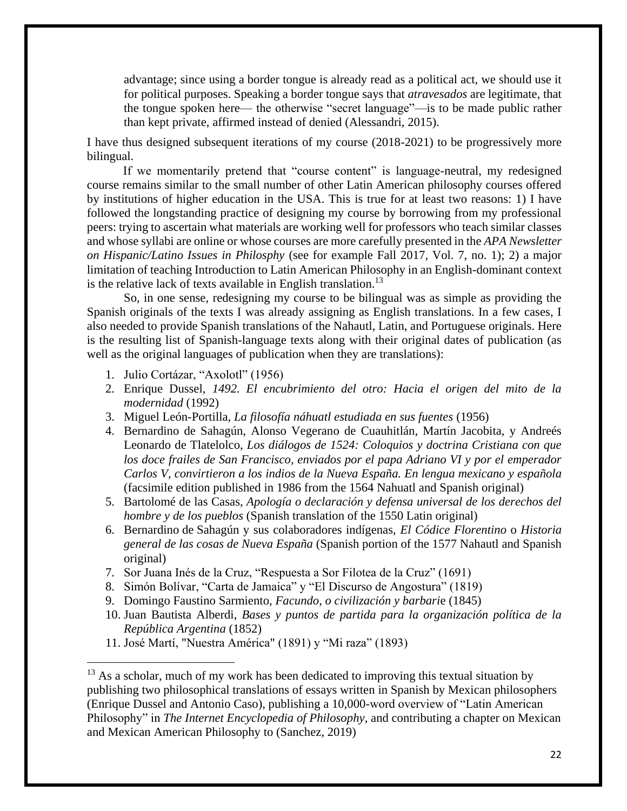advantage; since using a border tongue is already read as a political act, we should use it for political purposes. Speaking a border tongue says that *atravesados* are legitimate, that the tongue spoken here— the otherwise "secret language"—is to be made public rather than kept private, affirmed instead of denied (Alessandri, 2015).

I have thus designed subsequent iterations of my course (2018-2021) to be progressively more bilingual.

If we momentarily pretend that "course content" is language-neutral, my redesigned course remains similar to the small number of other Latin American philosophy courses offered by institutions of higher education in the USA. This is true for at least two reasons: 1) I have followed the longstanding practice of designing my course by borrowing from my professional peers: trying to ascertain what materials are working well for professors who teach similar classes and whose syllabi are online or whose courses are more carefully presented in the *APA Newsletter on Hispanic/Latino Issues in Philosphy* (see for example Fall 2017, Vol. 7, no. 1); 2) a major limitation of teaching Introduction to Latin American Philosophy in an English-dominant context is the relative lack of texts available in English translation.<sup>13</sup>

So, in one sense, redesigning my course to be bilingual was as simple as providing the Spanish originals of the texts I was already assigning as English translations. In a few cases, I also needed to provide Spanish translations of the Nahautl, Latin, and Portuguese originals. Here is the resulting list of Spanish-language texts along with their original dates of publication (as well as the original languages of publication when they are translations):

1. Julio Cortázar, "Axolotl" (1956)

- 2. Enrique Dussel, *1492. El encubrimiento del otro: Hacia el origen del mito de la modernidad* (1992)
- 3. Miguel León-Portilla, *La filosofía náhuatl estudiada en sus fuentes* (1956)
- 4. Bernardino de Sahagún, Alonso Vegerano de Cuauhitlán, Martín Jacobita, y Andreés Leonardo de Tlatelolco, *Los diálogos de 1524: Coloquios y doctrina Cristiana con que los doce frailes de San Francisco, enviados por el papa Adriano VI y por el emperador Carlos V, convirtieron a los indios de la Nueva España. En lengua mexicano y española*  (facsimile edition published in 1986 from the 1564 Nahuatl and Spanish original)
- 5. Bartolomé de las Casas, *Apología o declaración y defensa universal de los derechos del hombre y de los pueblos* (Spanish translation of the 1550 Latin original)
- 6. Bernardino de Sahagún y sus colaboradores indígenas, *El Códice Florentino* o *Historia general de las cosas de Nueva España* (Spanish portion of the 1577 Nahautl and Spanish original)
- 7. Sor Juana Inés de la Cruz, "Respuesta a Sor Filotea de la Cruz" (1691)
- 8. Simón Bolívar, "Carta de Jamaica" y "El Discurso de Angostura" (1819)
- 9. Domingo Faustino Sarmiento, *Facundo, o civilización y barbari*e (1845)
- 10. Juan Bautista Alberdi, *Bases y puntos de partida para la organización política de la República Argentina* (1852)
- 11. José Martí, "Nuestra América" (1891) y "Mi raza" (1893)

 $13$  As a scholar, much of my work has been dedicated to improving this textual situation by publishing two philosophical translations of essays written in Spanish by Mexican philosophers (Enrique Dussel and Antonio Caso), publishing a 10,000-word overview of "Latin American Philosophy" in *The Internet Encyclopedia of Philosophy*, and contributing a chapter on Mexican and Mexican American Philosophy to (Sanchez, 2019)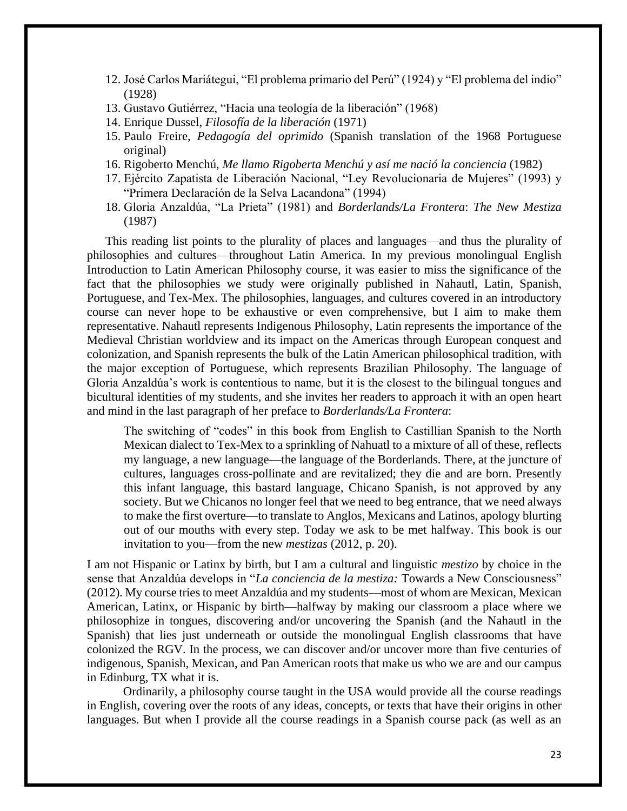- 12. José Carlos Mariátegui, "El problema primario del Perú" (1924) y "El problema del indio" (1928)
- 13. Gustavo Gutiérrez, "Hacia una teología de la liberación" (1968)
- 14. Enrique Dussel, *Filosofía de la liberación* (1971)
- 15. Paulo Freire, *Pedagogía del oprimido* (Spanish translation of the 1968 Portuguese original)
- 16. Rigoberto Menchú, *Me llamo Rigoberta Menchú y así me nació la conciencia* (1982)
- 17. Ejército Zapatista de Liberación Nacional, "Ley Revolucionaria de Mujeres" (1993) y "Primera Declaración de la Selva Lacandona" (1994)
- 18. Gloria Anzaldúa, "La Prieta" (1981) and *Borderlands/La Frontera*: *The New Mestiza* (1987)

This reading list points to the plurality of places and languages—and thus the plurality of philosophies and cultures—throughout Latin America. In my previous monolingual English Introduction to Latin American Philosophy course, it was easier to miss the significance of the fact that the philosophies we study were originally published in Nahautl, Latin, Spanish, Portuguese, and Tex-Mex. The philosophies, languages, and cultures covered in an introductory course can never hope to be exhaustive or even comprehensive, but I aim to make them representative. Nahautl represents Indigenous Philosophy, Latin represents the importance of the Medieval Christian worldview and its impact on the Americas through European conquest and colonization, and Spanish represents the bulk of the Latin American philosophical tradition, with the major exception of Portuguese, which represents Brazilian Philosophy. The language of Gloria Anzaldúa's work is contentious to name, but it is the closest to the bilingual tongues and bicultural identities of my students, and she invites her readers to approach it with an open heart and mind in the last paragraph of her preface to *Borderlands/La Frontera*:

The switching of "codes" in this book from English to Castillian Spanish to the North Mexican dialect to Tex-Mex to a sprinkling of Nahuatl to a mixture of all of these, reflects my language, a new language—the language of the Borderlands. There, at the juncture of cultures, languages cross-pollinate and are revitalized; they die and are born. Presently this infant language, this bastard language, Chicano Spanish, is not approved by any society. But we Chicanos no longer feel that we need to beg entrance, that we need always to make the first overture—to translate to Anglos, Mexicans and Latinos, apology blurting out of our mouths with every step. Today we ask to be met halfway. This book is our invitation to you—from the new *mestizas* (2012, p. 20).

I am not Hispanic or Latinx by birth, but I am a cultural and linguistic *mestizo* by choice in the sense that Anzaldúa develops in "*La conciencia de la mestiza:* Towards a New Consciousness" (2012)*.* My course tries to meet Anzaldúa and my students—most of whom are Mexican, Mexican American, Latinx, or Hispanic by birth—halfway by making our classroom a place where we philosophize in tongues, discovering and/or uncovering the Spanish (and the Nahautl in the Spanish) that lies just underneath or outside the monolingual English classrooms that have colonized the RGV. In the process, we can discover and/or uncover more than five centuries of indigenous, Spanish, Mexican, and Pan American roots that make us who we are and our campus in Edinburg, TX what it is.

Ordinarily, a philosophy course taught in the USA would provide all the course readings in English, covering over the roots of any ideas, concepts, or texts that have their origins in other languages. But when I provide all the course readings in a Spanish course pack (as well as an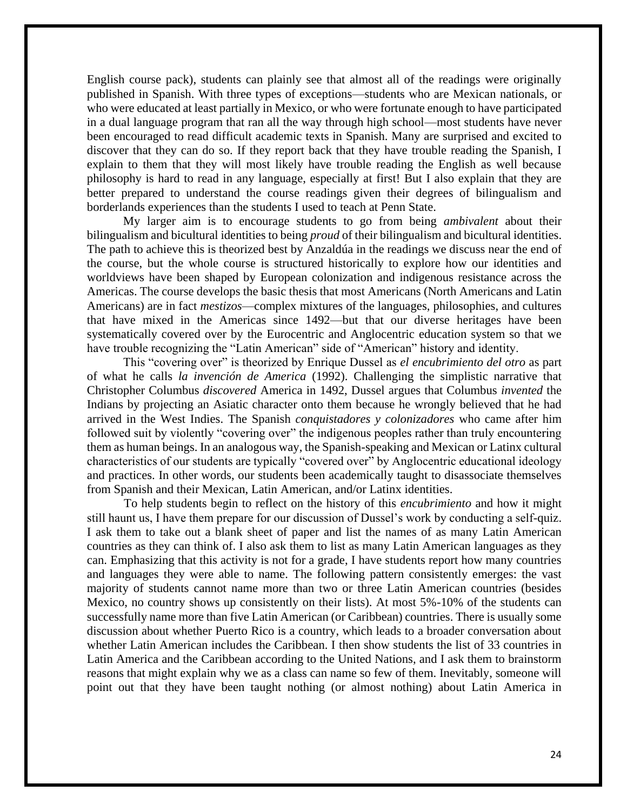English course pack), students can plainly see that almost all of the readings were originally published in Spanish. With three types of exceptions—students who are Mexican nationals, or who were educated at least partially in Mexico, or who were fortunate enough to have participated in a dual language program that ran all the way through high school—most students have never been encouraged to read difficult academic texts in Spanish. Many are surprised and excited to discover that they can do so. If they report back that they have trouble reading the Spanish, I explain to them that they will most likely have trouble reading the English as well because philosophy is hard to read in any language, especially at first! But I also explain that they are better prepared to understand the course readings given their degrees of bilingualism and borderlands experiences than the students I used to teach at Penn State.

My larger aim is to encourage students to go from being *ambivalent* about their bilingualism and bicultural identities to being *proud* of their bilingualism and bicultural identities. The path to achieve this is theorized best by Anzaldúa in the readings we discuss near the end of the course, but the whole course is structured historically to explore how our identities and worldviews have been shaped by European colonization and indigenous resistance across the Americas. The course develops the basic thesis that most Americans (North Americans and Latin Americans) are in fact *mestizos*—complex mixtures of the languages, philosophies, and cultures that have mixed in the Americas since 1492—but that our diverse heritages have been systematically covered over by the Eurocentric and Anglocentric education system so that we have trouble recognizing the "Latin American" side of "American" history and identity.

This "covering over" is theorized by Enrique Dussel as *el encubrimiento del otro* as part of what he calls *la invención de America* (1992). Challenging the simplistic narrative that Christopher Columbus *discovered* America in 1492, Dussel argues that Columbus *invented* the Indians by projecting an Asiatic character onto them because he wrongly believed that he had arrived in the West Indies. The Spanish *conquistadores y colonizadores* who came after him followed suit by violently "covering over" the indigenous peoples rather than truly encountering them as human beings. In an analogous way, the Spanish-speaking and Mexican or Latinx cultural characteristics of our students are typically "covered over" by Anglocentric educational ideology and practices. In other words, our students been academically taught to disassociate themselves from Spanish and their Mexican, Latin American, and/or Latinx identities.

To help students begin to reflect on the history of this *encubrimiento* and how it might still haunt us, I have them prepare for our discussion of Dussel's work by conducting a self-quiz. I ask them to take out a blank sheet of paper and list the names of as many Latin American countries as they can think of. I also ask them to list as many Latin American languages as they can. Emphasizing that this activity is not for a grade, I have students report how many countries and languages they were able to name. The following pattern consistently emerges: the vast majority of students cannot name more than two or three Latin American countries (besides Mexico, no country shows up consistently on their lists). At most 5%-10% of the students can successfully name more than five Latin American (or Caribbean) countries. There is usually some discussion about whether Puerto Rico is a country, which leads to a broader conversation about whether Latin American includes the Caribbean. I then show students the list of 33 countries in Latin America and the Caribbean according to the United Nations, and I ask them to brainstorm reasons that might explain why we as a class can name so few of them. Inevitably, someone will point out that they have been taught nothing (or almost nothing) about Latin America in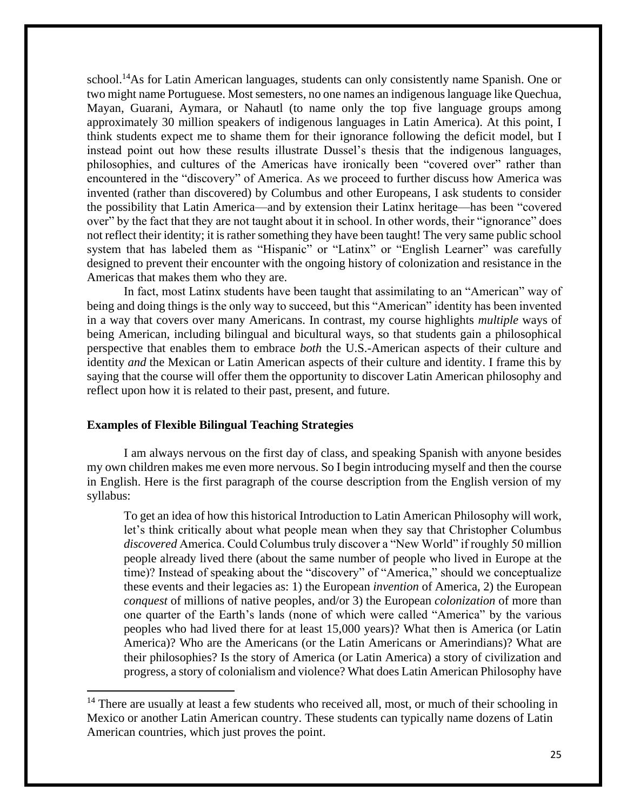school.<sup>14</sup>As for Latin American languages, students can only consistently name Spanish. One or two might name Portuguese. Most semesters, no one names an indigenous language like Quechua, Mayan, Guarani, Aymara, or Nahautl (to name only the top five language groups among approximately 30 million speakers of indigenous languages in Latin America). At this point, I think students expect me to shame them for their ignorance following the deficit model, but I instead point out how these results illustrate Dussel's thesis that the indigenous languages, philosophies, and cultures of the Americas have ironically been "covered over" rather than encountered in the "discovery" of America. As we proceed to further discuss how America was invented (rather than discovered) by Columbus and other Europeans, I ask students to consider the possibility that Latin America—and by extension their Latinx heritage—has been "covered over" by the fact that they are not taught about it in school. In other words, their "ignorance" does not reflect their identity; it is rather something they have been taught! The very same public school system that has labeled them as "Hispanic" or "Latinx" or "English Learner" was carefully designed to prevent their encounter with the ongoing history of colonization and resistance in the Americas that makes them who they are.

In fact, most Latinx students have been taught that assimilating to an "American" way of being and doing things is the only way to succeed, but this "American" identity has been invented in a way that covers over many Americans. In contrast, my course highlights *multiple* ways of being American, including bilingual and bicultural ways, so that students gain a philosophical perspective that enables them to embrace *both* the U.S.-American aspects of their culture and identity *and* the Mexican or Latin American aspects of their culture and identity. I frame this by saying that the course will offer them the opportunity to discover Latin American philosophy and reflect upon how it is related to their past, present, and future.

#### **Examples of Flexible Bilingual Teaching Strategies**

 $\ddot{\phantom{a}}$ 

I am always nervous on the first day of class, and speaking Spanish with anyone besides my own children makes me even more nervous. So I begin introducing myself and then the course in English. Here is the first paragraph of the course description from the English version of my syllabus:

To get an idea of how this historical Introduction to Latin American Philosophy will work, let's think critically about what people mean when they say that Christopher Columbus *discovered* America. Could Columbus truly discover a "New World" if roughly 50 million people already lived there (about the same number of people who lived in Europe at the time)? Instead of speaking about the "discovery" of "America," should we conceptualize these events and their legacies as: 1) the European *invention* of America, 2) the European *conquest* of millions of native peoples, and/or 3) the European *colonization* of more than one quarter of the Earth's lands (none of which were called "America" by the various peoples who had lived there for at least 15,000 years)? What then is America (or Latin America)? Who are the Americans (or the Latin Americans or Amerindians)? What are their philosophies? Is the story of America (or Latin America) a story of civilization and progress, a story of colonialism and violence? What does Latin American Philosophy have

 $14$  There are usually at least a few students who received all, most, or much of their schooling in Mexico or another Latin American country. These students can typically name dozens of Latin American countries, which just proves the point.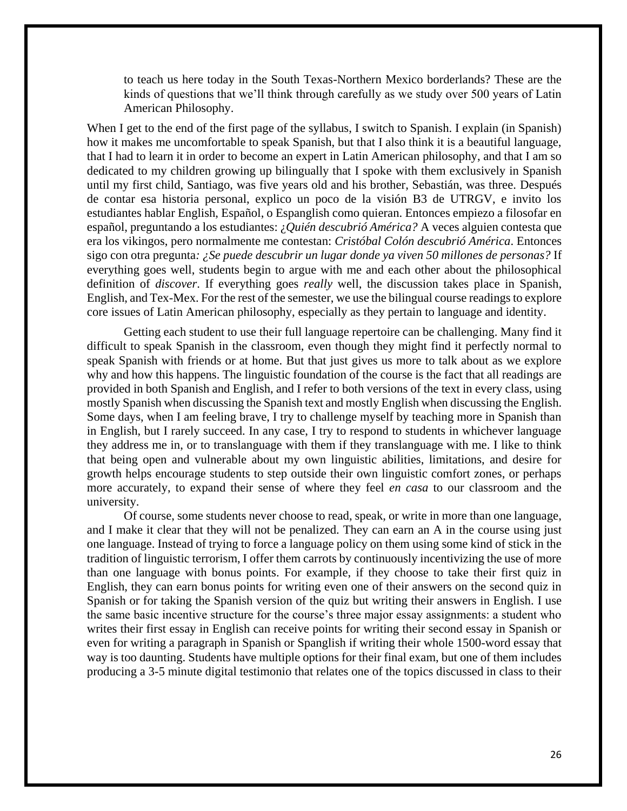to teach us here today in the South Texas-Northern Mexico borderlands? These are the kinds of questions that we'll think through carefully as we study over 500 years of Latin American Philosophy.

When I get to the end of the first page of the syllabus, I switch to Spanish. I explain (in Spanish) how it makes me uncomfortable to speak Spanish, but that I also think it is a beautiful language, that I had to learn it in order to become an expert in Latin American philosophy, and that I am so dedicated to my children growing up bilingually that I spoke with them exclusively in Spanish until my first child, Santiago, was five years old and his brother, Sebastián, was three. Después de contar esa historia personal, explico un poco de la visión B3 de UTRGV, e invito los estudiantes hablar English, Español, o Espanglish como quieran. Entonces empiezo a filosofar en español, preguntando a los estudiantes: ¿*Quién descubrió América?* A veces alguien contesta que era los vikingos, pero normalmente me contestan: *Cristóbal Colón descubrió América*. Entonces sigo con otra pregunta*: ¿Se puede descubrir un lugar donde ya viven 50 millones de personas?* If everything goes well, students begin to argue with me and each other about the philosophical definition of *discover*. If everything goes *really* well, the discussion takes place in Spanish, English, and Tex-Mex. For the rest of the semester, we use the bilingual course readings to explore core issues of Latin American philosophy, especially as they pertain to language and identity.

Getting each student to use their full language repertoire can be challenging. Many find it difficult to speak Spanish in the classroom, even though they might find it perfectly normal to speak Spanish with friends or at home. But that just gives us more to talk about as we explore why and how this happens. The linguistic foundation of the course is the fact that all readings are provided in both Spanish and English, and I refer to both versions of the text in every class, using mostly Spanish when discussing the Spanish text and mostly English when discussing the English. Some days, when I am feeling brave, I try to challenge myself by teaching more in Spanish than in English, but I rarely succeed. In any case, I try to respond to students in whichever language they address me in, or to translanguage with them if they translanguage with me. I like to think that being open and vulnerable about my own linguistic abilities, limitations, and desire for growth helps encourage students to step outside their own linguistic comfort zones, or perhaps more accurately, to expand their sense of where they feel *en casa* to our classroom and the university.

Of course, some students never choose to read, speak, or write in more than one language, and I make it clear that they will not be penalized. They can earn an A in the course using just one language. Instead of trying to force a language policy on them using some kind of stick in the tradition of linguistic terrorism, I offer them carrots by continuously incentivizing the use of more than one language with bonus points. For example, if they choose to take their first quiz in English, they can earn bonus points for writing even one of their answers on the second quiz in Spanish or for taking the Spanish version of the quiz but writing their answers in English. I use the same basic incentive structure for the course's three major essay assignments: a student who writes their first essay in English can receive points for writing their second essay in Spanish or even for writing a paragraph in Spanish or Spanglish if writing their whole 1500-word essay that way is too daunting. Students have multiple options for their final exam, but one of them includes producing a 3-5 minute digital testimonio that relates one of the topics discussed in class to their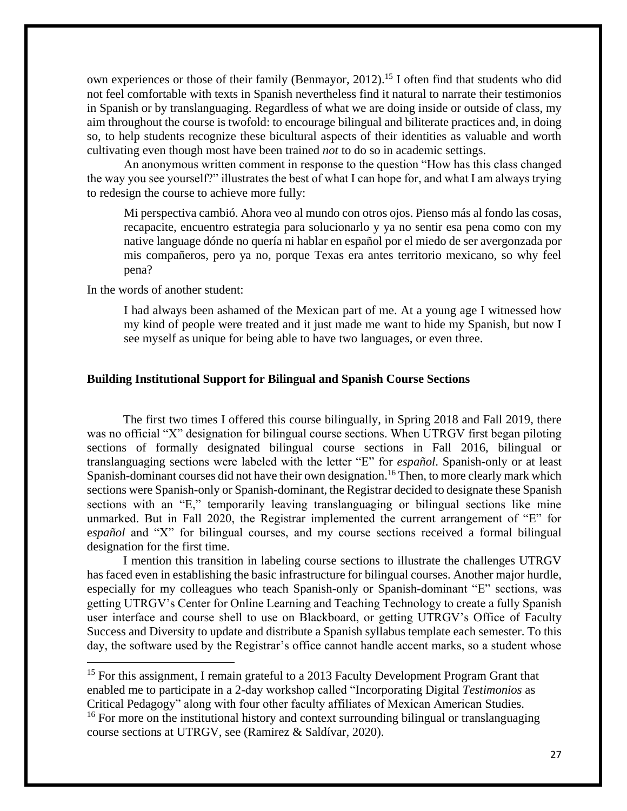own experiences or those of their family (Benmayor, 2012).<sup>15</sup> I often find that students who did not feel comfortable with texts in Spanish nevertheless find it natural to narrate their testimonios in Spanish or by translanguaging. Regardless of what we are doing inside or outside of class, my aim throughout the course is twofold: to encourage bilingual and biliterate practices and, in doing so, to help students recognize these bicultural aspects of their identities as valuable and worth cultivating even though most have been trained *not* to do so in academic settings.

An anonymous written comment in response to the question "How has this class changed the way you see yourself?" illustrates the best of what I can hope for, and what I am always trying to redesign the course to achieve more fully:

Mi perspectiva cambió. Ahora veo al mundo con otros ojos. Pienso más al fondo las cosas, recapacite, encuentro estrategia para solucionarlo y ya no sentir esa pena como con my native language dónde no quería ni hablar en español por el miedo de ser avergonzada por mis compañeros, pero ya no, porque Texas era antes territorio mexicano, so why feel pena?

In the words of another student:

 $\overline{a}$ 

I had always been ashamed of the Mexican part of me. At a young age I witnessed how my kind of people were treated and it just made me want to hide my Spanish, but now I see myself as unique for being able to have two languages, or even three.

## **Building Institutional Support for Bilingual and Spanish Course Sections**

The first two times I offered this course bilingually, in Spring 2018 and Fall 2019, there was no official "X" designation for bilingual course sections. When UTRGV first began piloting sections of formally designated bilingual course sections in Fall 2016, bilingual or translanguaging sections were labeled with the letter "E" for *español*. Spanish-only or at least Spanish-dominant courses did not have their own designation.<sup>16</sup> Then, to more clearly mark which sections were Spanish-only or Spanish-dominant, the Registrar decided to designate these Spanish sections with an "E," temporarily leaving translanguaging or bilingual sections like mine unmarked. But in Fall 2020, the Registrar implemented the current arrangement of "E" for e*spañol* and "X" for bilingual courses, and my course sections received a formal bilingual designation for the first time.

I mention this transition in labeling course sections to illustrate the challenges UTRGV has faced even in establishing the basic infrastructure for bilingual courses. Another major hurdle, especially for my colleagues who teach Spanish-only or Spanish-dominant "E" sections, was getting UTRGV's Center for Online Learning and Teaching Technology to create a fully Spanish user interface and course shell to use on Blackboard, or getting UTRGV's Office of Faculty Success and Diversity to update and distribute a Spanish syllabus template each semester. To this day, the software used by the Registrar's office cannot handle accent marks, so a student whose

<sup>&</sup>lt;sup>15</sup> For this assignment, I remain grateful to a 2013 Faculty Development Program Grant that enabled me to participate in a 2-day workshop called "Incorporating Digital *Testimonios* as Critical Pedagogy" along with four other faculty affiliates of Mexican American Studies.

<sup>&</sup>lt;sup>16</sup> For more on the institutional history and context surrounding bilingual or translanguaging course sections at UTRGV, see (Ramirez & Saldívar, 2020).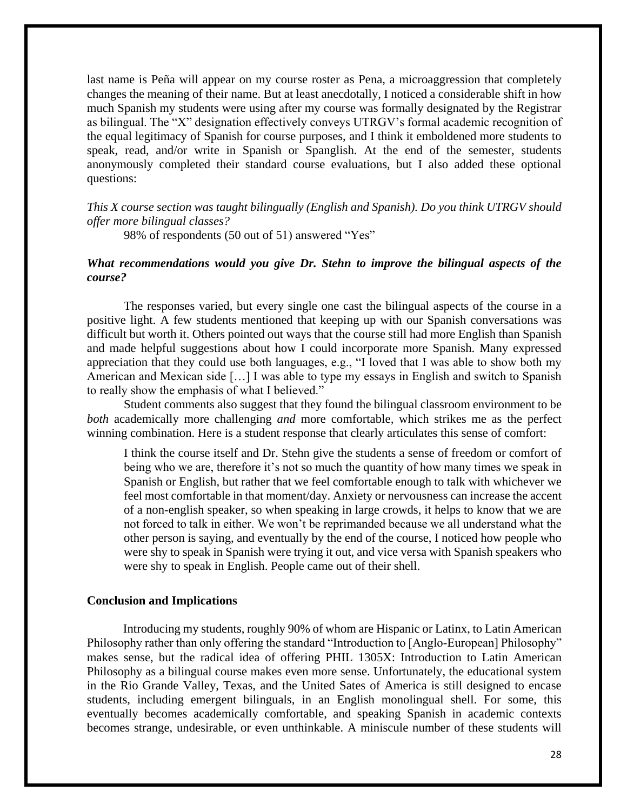last name is Peña will appear on my course roster as Pena, a microaggression that completely changes the meaning of their name. But at least anecdotally, I noticed a considerable shift in how much Spanish my students were using after my course was formally designated by the Registrar as bilingual. The "X" designation effectively conveys UTRGV's formal academic recognition of the equal legitimacy of Spanish for course purposes, and I think it emboldened more students to speak, read, and/or write in Spanish or Spanglish. At the end of the semester, students anonymously completed their standard course evaluations, but I also added these optional questions:

*This X course section was taught bilingually (English and Spanish). Do you think UTRGV should offer more bilingual classes?* 

98% of respondents (50 out of 51) answered "Yes"

## *What recommendations would you give Dr. Stehn to improve the bilingual aspects of the course?*

The responses varied, but every single one cast the bilingual aspects of the course in a positive light. A few students mentioned that keeping up with our Spanish conversations was difficult but worth it. Others pointed out ways that the course still had more English than Spanish and made helpful suggestions about how I could incorporate more Spanish. Many expressed appreciation that they could use both languages, e.g., "I loved that I was able to show both my American and Mexican side […] I was able to type my essays in English and switch to Spanish to really show the emphasis of what I believed."

Student comments also suggest that they found the bilingual classroom environment to be *both* academically more challenging *and* more comfortable*,* which strikes me as the perfect winning combination. Here is a student response that clearly articulates this sense of comfort:

I think the course itself and Dr. Stehn give the students a sense of freedom or comfort of being who we are, therefore it's not so much the quantity of how many times we speak in Spanish or English, but rather that we feel comfortable enough to talk with whichever we feel most comfortable in that moment/day. Anxiety or nervousness can increase the accent of a non-english speaker, so when speaking in large crowds, it helps to know that we are not forced to talk in either. We won't be reprimanded because we all understand what the other person is saying, and eventually by the end of the course, I noticed how people who were shy to speak in Spanish were trying it out, and vice versa with Spanish speakers who were shy to speak in English. People came out of their shell.

#### **Conclusion and Implications**

Introducing my students, roughly 90% of whom are Hispanic or Latinx, to Latin American Philosophy rather than only offering the standard "Introduction to [Anglo-European] Philosophy" makes sense, but the radical idea of offering PHIL 1305X: Introduction to Latin American Philosophy as a bilingual course makes even more sense. Unfortunately, the educational system in the Rio Grande Valley, Texas, and the United Sates of America is still designed to encase students, including emergent bilinguals, in an English monolingual shell. For some, this eventually becomes academically comfortable, and speaking Spanish in academic contexts becomes strange, undesirable, or even unthinkable. A miniscule number of these students will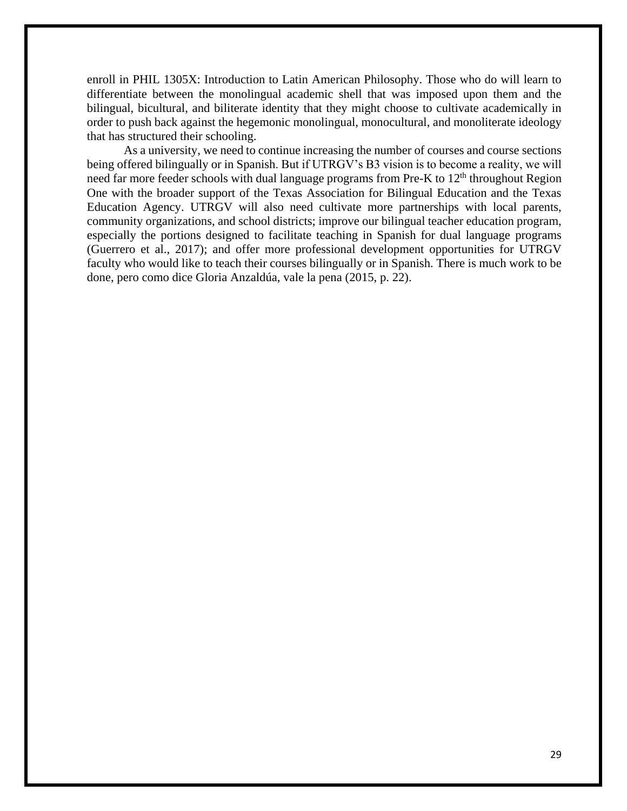enroll in PHIL 1305X: Introduction to Latin American Philosophy. Those who do will learn to differentiate between the monolingual academic shell that was imposed upon them and the bilingual, bicultural, and biliterate identity that they might choose to cultivate academically in order to push back against the hegemonic monolingual, monocultural, and monoliterate ideology that has structured their schooling.

As a university, we need to continue increasing the number of courses and course sections being offered bilingually or in Spanish. But if UTRGV's B3 vision is to become a reality, we will need far more feeder schools with dual language programs from Pre-K to  $12<sup>th</sup>$  throughout Region One with the broader support of the Texas Association for Bilingual Education and the Texas Education Agency. UTRGV will also need cultivate more partnerships with local parents, community organizations, and school districts; improve our bilingual teacher education program, especially the portions designed to facilitate teaching in Spanish for dual language programs (Guerrero et al., 2017); and offer more professional development opportunities for UTRGV faculty who would like to teach their courses bilingually or in Spanish. There is much work to be done, pero como dice Gloria Anzaldúa, vale la pena (2015, p. 22).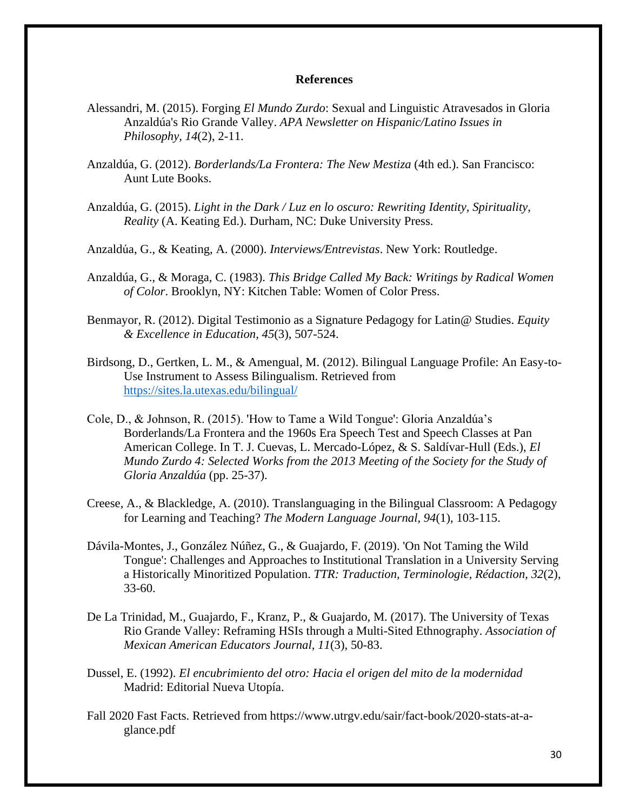#### **References**

- Alessandri, M. (2015). Forging *El Mundo Zurdo*: Sexual and Linguistic Atravesados in Gloria Anzaldúa's Rio Grande Valley. *APA Newsletter on Hispanic/Latino Issues in Philosophy, 14*(2), 2-11.
- Anzaldúa, G. (2012). *Borderlands/La Frontera: The New Mestiza* (4th ed.). San Francisco: Aunt Lute Books.
- Anzaldúa, G. (2015). *Light in the Dark / Luz en lo oscuro: Rewriting Identity, Spirituality, Reality* (A. Keating Ed.). Durham, NC: Duke University Press.
- Anzaldúa, G., & Keating, A. (2000). *Interviews/Entrevistas*. New York: Routledge.
- Anzaldúa, G., & Moraga, C. (1983). *This Bridge Called My Back: Writings by Radical Women of Color*. Brooklyn, NY: Kitchen Table: Women of Color Press.
- Benmayor, R. (2012). Digital Testimonio as a Signature Pedagogy for Latin@ Studies. *Equity & Excellence in Education, 45*(3), 507-524.
- Birdsong, D., Gertken, L. M., & Amengual, M. (2012). Bilingual Language Profile: An Easy-to-Use Instrument to Assess Bilingualism. Retrieved from <https://sites.la.utexas.edu/bilingual/>
- Cole, D., & Johnson, R. (2015). 'How to Tame a Wild Tongue': Gloria Anzaldúa's Borderlands/La Frontera and the 1960s Era Speech Test and Speech Classes at Pan American College. In T. J. Cuevas, L. Mercado-López, & S. Saldívar-Hull (Eds.), *El Mundo Zurdo 4: Selected Works from the 2013 Meeting of the Society for the Study of Gloria Anzaldúa* (pp. 25-37).
- Creese, A., & Blackledge, A. (2010). Translanguaging in the Bilingual Classroom: A Pedagogy for Learning and Teaching? *The Modern Language Journal, 94*(1), 103-115.
- Dávila-Montes, J., González Núñez, G., & Guajardo, F. (2019). 'On Not Taming the Wild Tongue': Challenges and Approaches to Institutional Translation in a University Serving a Historically Minoritized Population. *TTR: Traduction, Terminologie, Rédaction, 32*(2), 33-60.
- De La Trinidad, M., Guajardo, F., Kranz, P., & Guajardo, M. (2017). The University of Texas Rio Grande Valley: Reframing HSIs through a Multi-Sited Ethnography. *Association of Mexican American Educators Journal, 11*(3), 50-83.
- Dussel, E. (1992). *El encubrimiento del otro: Hacia el origen del mito de la modernidad*  Madrid: Editorial Nueva Utopía.
- Fall 2020 Fast Facts. Retrieved from https://www.utrgv.edu/sair/fact-book/2020-stats-at-aglance.pdf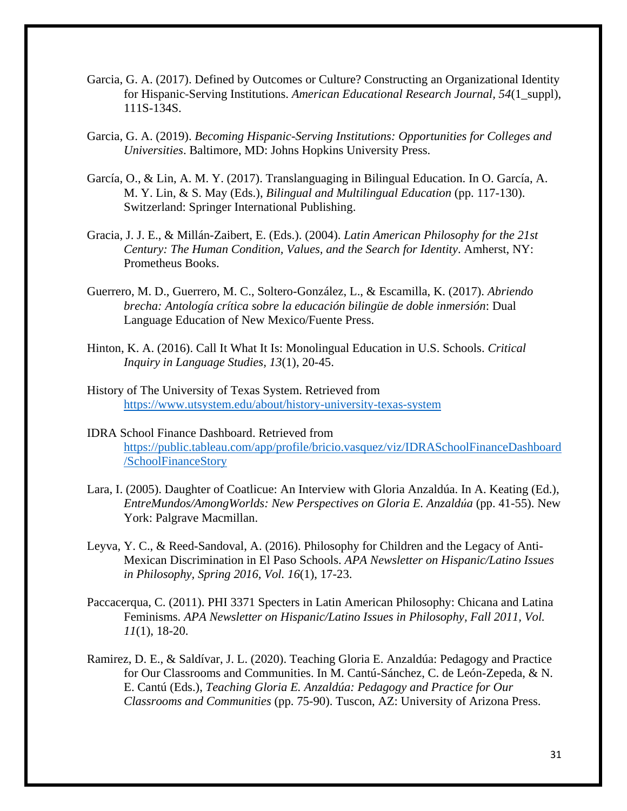- Garcia, G. A. (2017). Defined by Outcomes or Culture? Constructing an Organizational Identity for Hispanic-Serving Institutions. *American Educational Research Journal, 54*(1\_suppl), 111S-134S.
- Garcia, G. A. (2019). *Becoming Hispanic-Serving Institutions: Opportunities for Colleges and Universities*. Baltimore, MD: Johns Hopkins University Press.
- García, O., & Lin, A. M. Y. (2017). Translanguaging in Bilingual Education. In O. García, A. M. Y. Lin, & S. May (Eds.), *Bilingual and Multilingual Education* (pp. 117-130). Switzerland: Springer International Publishing.
- Gracia, J. J. E., & Millán-Zaibert, E. (Eds.). (2004). *Latin American Philosophy for the 21st Century: The Human Condition, Values, and the Search for Identity*. Amherst, NY: Prometheus Books.
- Guerrero, M. D., Guerrero, M. C., Soltero-González, L., & Escamilla, K. (2017). *Abriendo brecha: Antología crítica sobre la educación bilingüe de doble inmersión*: Dual Language Education of New Mexico/Fuente Press.
- Hinton, K. A. (2016). Call It What It Is: Monolingual Education in U.S. Schools. *Critical Inquiry in Language Studies, 13*(1), 20-45.
- History of The University of Texas System. Retrieved from <https://www.utsystem.edu/about/history-university-texas-system>
- IDRA School Finance Dashboard. Retrieved from [https://public.tableau.com/app/profile/bricio.vasquez/viz/IDRASchoolFinanceDashboard](https://public.tableau.com/app/profile/bricio.vasquez/viz/IDRASchoolFinanceDashboard/SchoolFinanceStory) [/SchoolFinanceStory](https://public.tableau.com/app/profile/bricio.vasquez/viz/IDRASchoolFinanceDashboard/SchoolFinanceStory)
- Lara, I. (2005). Daughter of Coatlicue: An Interview with Gloria Anzaldúa. In A. Keating (Ed.), *EntreMundos/AmongWorlds: New Perspectives on Gloria E. Anzaldúa* (pp. 41-55). New York: Palgrave Macmillan.
- Leyva, Y. C., & Reed-Sandoval, A. (2016). Philosophy for Children and the Legacy of Anti-Mexican Discrimination in El Paso Schools. *APA Newsletter on Hispanic/Latino Issues in Philosophy, Spring 2016, Vol. 16*(1), 17-23.
- Paccacerqua, C. (2011). PHI 3371 Specters in Latin American Philosophy: Chicana and Latina Feminisms. *APA Newsletter on Hispanic/Latino Issues in Philosophy, Fall 2011, Vol. 11*(1), 18-20.
- Ramirez, D. E., & Saldívar, J. L. (2020). Teaching Gloria E. Anzaldúa: Pedagogy and Practice for Our Classrooms and Communities. In M. Cantú-Sánchez, C. de León-Zepeda, & N. E. Cantú (Eds.), *Teaching Gloria E. Anzaldúa: Pedagogy and Practice for Our Classrooms and Communities* (pp. 75-90). Tuscon, AZ: University of Arizona Press.